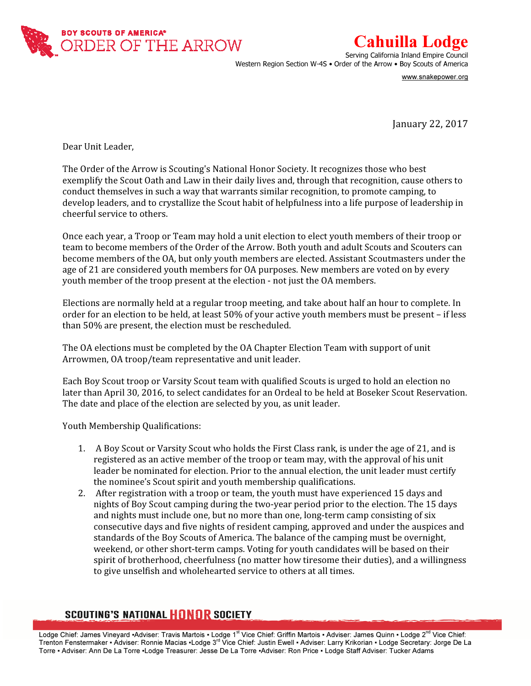

## Cahuilla Lodge

Serving California Inland Empire Council Western Region Section W-4S • Order of the Arrow • Boy Scouts of America

www.snakepower.org

January 22, 2017

Dear Unit Leader,

The Order of the Arrow is Scouting's National Honor Society. It recognizes those who best exemplify the Scout Oath and Law in their daily lives and, through that recognition, cause others to conduct themselves in such a way that warrants similar recognition, to promote camping, to develop leaders, and to crystallize the Scout habit of helpfulness into a life purpose of leadership in cheerful service to others.

Once each year, a Troop or Team may hold a unit election to elect youth members of their troop or team to become members of the Order of the Arrow. Both youth and adult Scouts and Scouters can become members of the OA, but only youth members are elected. Assistant Scoutmasters under the age of 21 are considered youth members for OA purposes. New members are voted on by every youth member of the troop present at the election - not just the OA members.

Elections are normally held at a regular troop meeting, and take about half an hour to complete. In order for an election to be held, at least 50% of your active youth members must be present – if less than 50% are present, the election must be rescheduled.

The OA elections must be completed by the OA Chapter Election Team with support of unit Arrowmen, OA troop/team representative and unit leader.

Each Boy Scout troop or Varsity Scout team with qualified Scouts is urged to hold an election no later than April 30, 2016, to select candidates for an Ordeal to be held at Boseker Scout Reservation. The date and place of the election are selected by you, as unit leader.

Youth Membership Qualifications:

- 1. A Boy Scout or Varsity Scout who holds the First Class rank, is under the age of 21, and is registered as an active member of the troop or team may, with the approval of his unit leader be nominated for election. Prior to the annual election, the unit leader must certify the nominee's Scout spirit and youth membership qualifications.
- 2. After registration with a troop or team, the youth must have experienced 15 days and nights of Boy Scout camping during the two-year period prior to the election. The 15 days and nights must include one, but no more than one, long-term camp consisting of six consecutive days and five nights of resident camping, approved and under the auspices and standards of the Boy Scouts of America. The balance of the camping must be overnight, weekend, or other short-term camps. Voting for youth candidates will be based on their spirit of brotherhood, cheerfulness (no matter how tiresome their duties), and a willingness to give unselfish and wholehearted service to others at all times.

## **SCOUTING'S NATIONAL HONOR SOCIETY**

Lodge Chief: James Vineyard ▪Adviser: Travis Martois ▪ Lodge 1<sup>st</sup> Vice Chief: Griffin Martois ▪ Adviser: James Quinn ▪ Lodge 2<sup>nd</sup> Vice Chief: Trenton Fenstermaker • Adviser: Ronnie Macias •Lodge 3<sup>rd</sup> Vice Chief: Justin Ewell • Adviser: Larry Krikorian • Lodge Secretary: Jorge De La Torre ▪ Adviser: Ann De La Torre ▪Lodge Treasurer: Jesse De La Torre ▪Adviser: Ron Price ▪ Lodge Staff Adviser: Tucker Adams